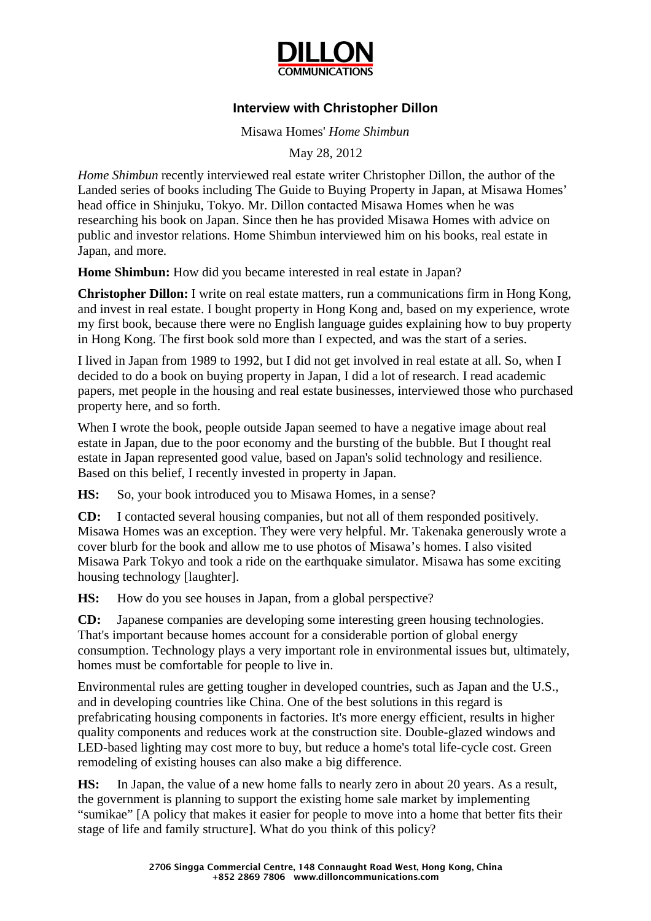

## **Interview with Christopher Dillon**

Misawa Homes' *Home Shimbun*

May 28, 2012

*Home Shimbun* recently interviewed real estate writer Christopher Dillon, the author of the Landed series of books including The Guide to Buying Property in Japan, at Misawa Homes' head office in Shinjuku, Tokyo. Mr. Dillon contacted Misawa Homes when he was researching his book on Japan. Since then he has provided Misawa Homes with advice on public and investor relations. Home Shimbun interviewed him on his books, real estate in Japan, and more.

**Home Shimbun:** How did you became interested in real estate in Japan?

**Christopher Dillon:** I write on real estate matters, run a communications firm in Hong Kong, and invest in real estate. I bought property in Hong Kong and, based on my experience, wrote my first book, because there were no English language guides explaining how to buy property in Hong Kong. The first book sold more than I expected, and was the start of a series.

I lived in Japan from 1989 to 1992, but I did not get involved in real estate at all. So, when I decided to do a book on buying property in Japan, I did a lot of research. I read academic papers, met people in the housing and real estate businesses, interviewed those who purchased property here, and so forth.

When I wrote the book, people outside Japan seemed to have a negative image about real estate in Japan, due to the poor economy and the bursting of the bubble. But I thought real estate in Japan represented good value, based on Japan's solid technology and resilience. Based on this belief, I recently invested in property in Japan.

**HS:** So, your book introduced you to Misawa Homes, in a sense?

**CD:** I contacted several housing companies, but not all of them responded positively. Misawa Homes was an exception. They were very helpful. Mr. Takenaka generously wrote a cover blurb for the book and allow me to use photos of Misawa's homes. I also visited Misawa Park Tokyo and took a ride on the earthquake simulator. Misawa has some exciting housing technology [laughter].

**HS:** How do you see houses in Japan, from a global perspective?

**CD:** Japanese companies are developing some interesting green housing technologies. That's important because homes account for a considerable portion of global energy consumption. Technology plays a very important role in environmental issues but, ultimately, homes must be comfortable for people to live in.

Environmental rules are getting tougher in developed countries, such as Japan and the U.S., and in developing countries like China. One of the best solutions in this regard is prefabricating housing components in factories. It's more energy efficient, results in higher quality components and reduces work at the construction site. Double-glazed windows and LED-based lighting may cost more to buy, but reduce a home's total life-cycle cost. Green remodeling of existing houses can also make a big difference.

**HS:** In Japan, the value of a new home falls to nearly zero in about 20 years. As a result, the government is planning to support the existing home sale market by implementing "sumikae" [A policy that makes it easier for people to move into a home that better fits their stage of life and family structure]. What do you think of this policy?